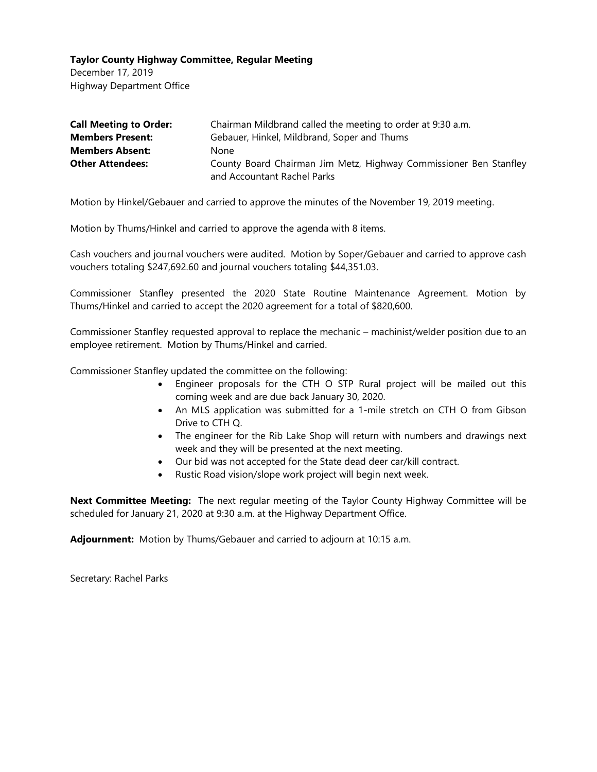December 17, 2019 Highway Department Office

| <b>Call Meeting to Order:</b> | Chairman Mildbrand called the meeting to order at 9:30 a.m.       |
|-------------------------------|-------------------------------------------------------------------|
| <b>Members Present:</b>       | Gebauer, Hinkel, Mildbrand, Soper and Thums                       |
| <b>Members Absent:</b>        | None                                                              |
| <b>Other Attendees:</b>       | County Board Chairman Jim Metz, Highway Commissioner Ben Stanfley |
|                               | and Accountant Rachel Parks                                       |

Motion by Hinkel/Gebauer and carried to approve the minutes of the November 19, 2019 meeting.

Motion by Thums/Hinkel and carried to approve the agenda with 8 items.

Cash vouchers and journal vouchers were audited. Motion by Soper/Gebauer and carried to approve cash vouchers totaling \$247,692.60 and journal vouchers totaling \$44,351.03.

Commissioner Stanfley presented the 2020 State Routine Maintenance Agreement. Motion by Thums/Hinkel and carried to accept the 2020 agreement for a total of \$820,600.

Commissioner Stanfley requested approval to replace the mechanic – machinist/welder position due to an employee retirement. Motion by Thums/Hinkel and carried.

Commissioner Stanfley updated the committee on the following:

- Engineer proposals for the CTH O STP Rural project will be mailed out this coming week and are due back January 30, 2020.
- An MLS application was submitted for a 1-mile stretch on CTH O from Gibson Drive to CTH Q.
- The engineer for the Rib Lake Shop will return with numbers and drawings next week and they will be presented at the next meeting.
- Our bid was not accepted for the State dead deer car/kill contract.
- Rustic Road vision/slope work project will begin next week.

**Next Committee Meeting:** The next regular meeting of the Taylor County Highway Committee will be scheduled for January 21, 2020 at 9:30 a.m. at the Highway Department Office.

**Adjournment:** Motion by Thums/Gebauer and carried to adjourn at 10:15 a.m.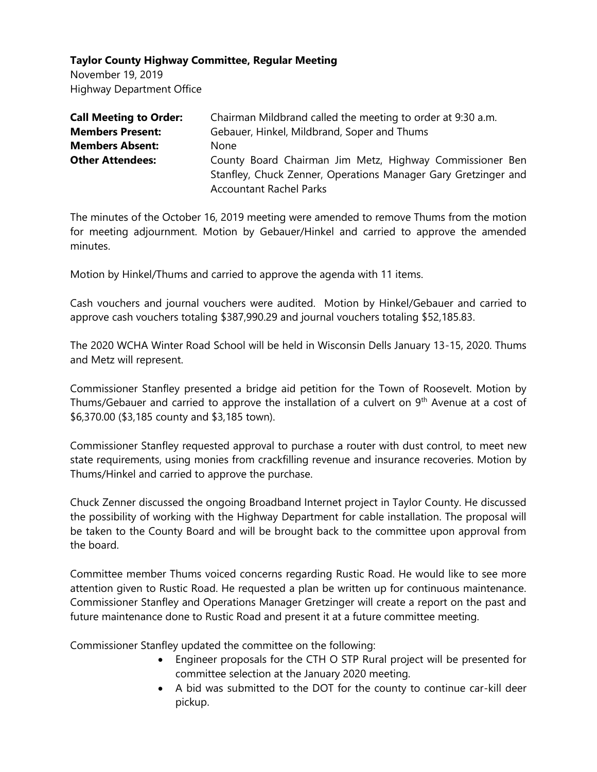November 19, 2019 Highway Department Office

| <b>Call Meeting to Order:</b> | Chairman Mildbrand called the meeting to order at 9:30 a.m.                                                                                                  |
|-------------------------------|--------------------------------------------------------------------------------------------------------------------------------------------------------------|
| <b>Members Present:</b>       | Gebauer, Hinkel, Mildbrand, Soper and Thums                                                                                                                  |
| <b>Members Absent:</b>        | <b>None</b>                                                                                                                                                  |
| <b>Other Attendees:</b>       | County Board Chairman Jim Metz, Highway Commissioner Ben<br>Stanfley, Chuck Zenner, Operations Manager Gary Gretzinger and<br><b>Accountant Rachel Parks</b> |

The minutes of the October 16, 2019 meeting were amended to remove Thums from the motion for meeting adjournment. Motion by Gebauer/Hinkel and carried to approve the amended minutes.

Motion by Hinkel/Thums and carried to approve the agenda with 11 items.

Cash vouchers and journal vouchers were audited. Motion by Hinkel/Gebauer and carried to approve cash vouchers totaling \$387,990.29 and journal vouchers totaling \$52,185.83.

The 2020 WCHA Winter Road School will be held in Wisconsin Dells January 13-15, 2020. Thums and Metz will represent.

Commissioner Stanfley presented a bridge aid petition for the Town of Roosevelt. Motion by Thums/Gebauer and carried to approve the installation of a culvert on 9<sup>th</sup> Avenue at a cost of \$6,370.00 (\$3,185 county and \$3,185 town).

Commissioner Stanfley requested approval to purchase a router with dust control, to meet new state requirements, using monies from crackfilling revenue and insurance recoveries. Motion by Thums/Hinkel and carried to approve the purchase.

Chuck Zenner discussed the ongoing Broadband Internet project in Taylor County. He discussed the possibility of working with the Highway Department for cable installation. The proposal will be taken to the County Board and will be brought back to the committee upon approval from the board.

Committee member Thums voiced concerns regarding Rustic Road. He would like to see more attention given to Rustic Road. He requested a plan be written up for continuous maintenance. Commissioner Stanfley and Operations Manager Gretzinger will create a report on the past and future maintenance done to Rustic Road and present it at a future committee meeting.

Commissioner Stanfley updated the committee on the following:

- Engineer proposals for the CTH O STP Rural project will be presented for committee selection at the January 2020 meeting.
- A bid was submitted to the DOT for the county to continue car-kill deer pickup.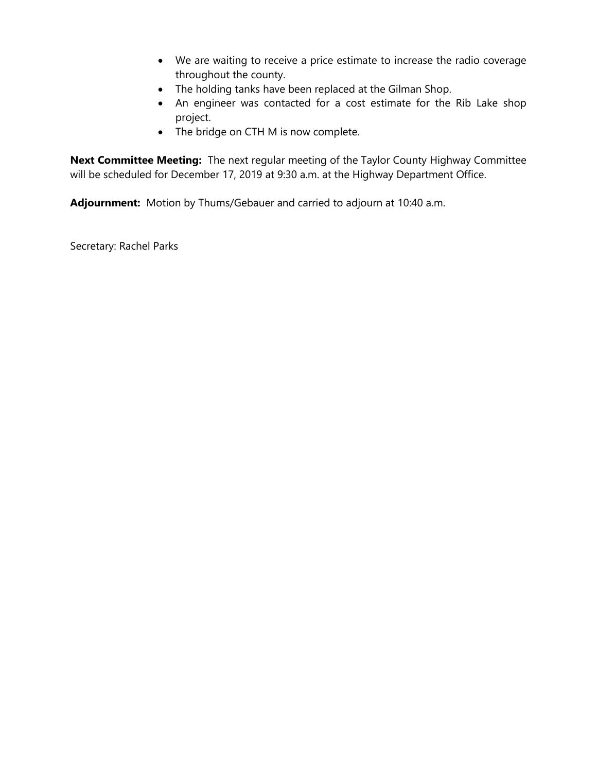- We are waiting to receive a price estimate to increase the radio coverage throughout the county.
- The holding tanks have been replaced at the Gilman Shop.
- An engineer was contacted for a cost estimate for the Rib Lake shop project.
- The bridge on CTH M is now complete.

**Next Committee Meeting:** The next regular meeting of the Taylor County Highway Committee will be scheduled for December 17, 2019 at 9:30 a.m. at the Highway Department Office.

**Adjournment:** Motion by Thums/Gebauer and carried to adjourn at 10:40 a.m.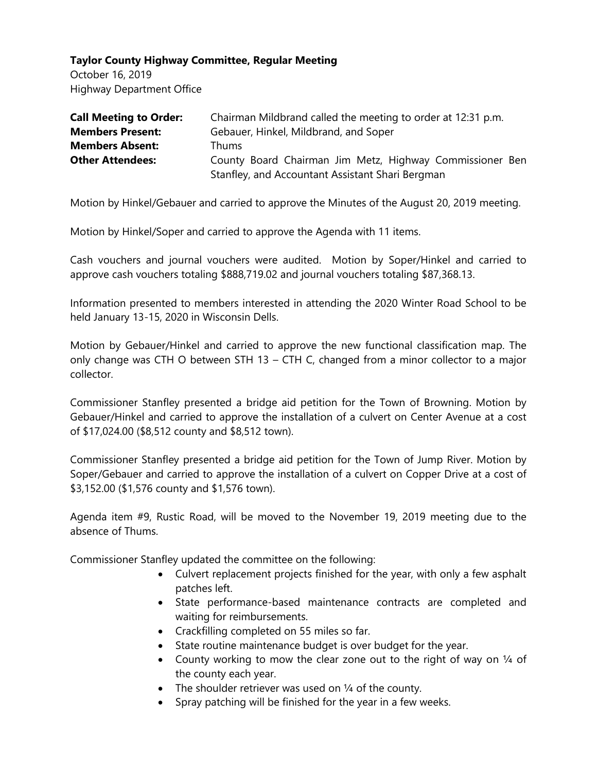October 16, 2019 Highway Department Office

| <b>Call Meeting to Order:</b> | Chairman Mildbrand called the meeting to order at 12:31 p.m. |
|-------------------------------|--------------------------------------------------------------|
| <b>Members Present:</b>       | Gebauer, Hinkel, Mildbrand, and Soper                        |
| <b>Members Absent:</b>        | Thums.                                                       |
| <b>Other Attendees:</b>       | County Board Chairman Jim Metz, Highway Commissioner Ben     |
|                               | Stanfley, and Accountant Assistant Shari Bergman             |

Motion by Hinkel/Gebauer and carried to approve the Minutes of the August 20, 2019 meeting.

Motion by Hinkel/Soper and carried to approve the Agenda with 11 items.

Cash vouchers and journal vouchers were audited. Motion by Soper/Hinkel and carried to approve cash vouchers totaling \$888,719.02 and journal vouchers totaling \$87,368.13.

Information presented to members interested in attending the 2020 Winter Road School to be held January 13-15, 2020 in Wisconsin Dells.

Motion by Gebauer/Hinkel and carried to approve the new functional classification map. The only change was CTH O between STH 13 – CTH C, changed from a minor collector to a major collector.

Commissioner Stanfley presented a bridge aid petition for the Town of Browning. Motion by Gebauer/Hinkel and carried to approve the installation of a culvert on Center Avenue at a cost of \$17,024.00 (\$8,512 county and \$8,512 town).

Commissioner Stanfley presented a bridge aid petition for the Town of Jump River. Motion by Soper/Gebauer and carried to approve the installation of a culvert on Copper Drive at a cost of \$3,152.00 (\$1,576 county and \$1,576 town).

Agenda item #9, Rustic Road, will be moved to the November 19, 2019 meeting due to the absence of Thums.

Commissioner Stanfley updated the committee on the following:

- Culvert replacement projects finished for the year, with only a few asphalt patches left.
- State performance-based maintenance contracts are completed and waiting for reimbursements.
- Crackfilling completed on 55 miles so far.
- State routine maintenance budget is over budget for the year.
- County working to mow the clear zone out to the right of way on 1/4 of the county each year.
- The shoulder retriever was used on 1/4 of the county.
- Spray patching will be finished for the year in a few weeks.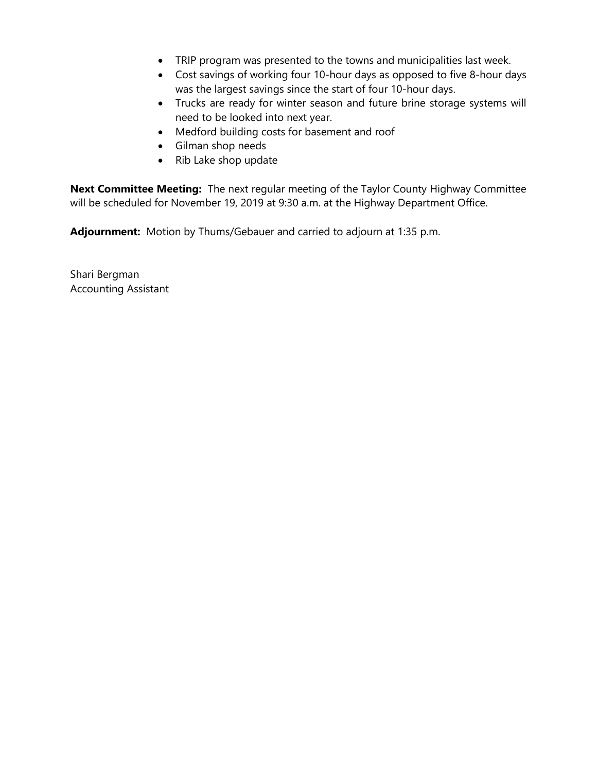- TRIP program was presented to the towns and municipalities last week.
- Cost savings of working four 10-hour days as opposed to five 8-hour days was the largest savings since the start of four 10-hour days.
- Trucks are ready for winter season and future brine storage systems will need to be looked into next year.
- Medford building costs for basement and roof
- Gilman shop needs
- Rib Lake shop update

**Next Committee Meeting:** The next regular meeting of the Taylor County Highway Committee will be scheduled for November 19, 2019 at 9:30 a.m. at the Highway Department Office.

**Adjournment:** Motion by Thums/Gebauer and carried to adjourn at 1:35 p.m.

Shari Bergman Accounting Assistant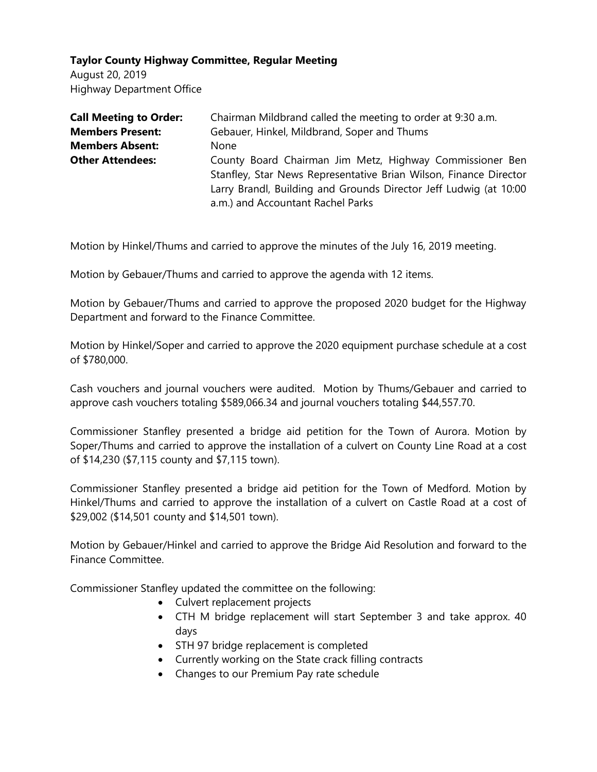August 20, 2019 Highway Department Office

| <b>Call Meeting to Order:</b> | Chairman Mildbrand called the meeting to order at 9:30 a.m.                                                                                                                                                                             |
|-------------------------------|-----------------------------------------------------------------------------------------------------------------------------------------------------------------------------------------------------------------------------------------|
| <b>Members Present:</b>       | Gebauer, Hinkel, Mildbrand, Soper and Thums                                                                                                                                                                                             |
| <b>Members Absent:</b>        | None                                                                                                                                                                                                                                    |
| <b>Other Attendees:</b>       | County Board Chairman Jim Metz, Highway Commissioner Ben<br>Stanfley, Star News Representative Brian Wilson, Finance Director<br>Larry Brandl, Building and Grounds Director Jeff Ludwig (at 10:00<br>a.m.) and Accountant Rachel Parks |

Motion by Hinkel/Thums and carried to approve the minutes of the July 16, 2019 meeting.

Motion by Gebauer/Thums and carried to approve the agenda with 12 items.

Motion by Gebauer/Thums and carried to approve the proposed 2020 budget for the Highway Department and forward to the Finance Committee.

Motion by Hinkel/Soper and carried to approve the 2020 equipment purchase schedule at a cost of \$780,000.

Cash vouchers and journal vouchers were audited. Motion by Thums/Gebauer and carried to approve cash vouchers totaling \$589,066.34 and journal vouchers totaling \$44,557.70.

Commissioner Stanfley presented a bridge aid petition for the Town of Aurora. Motion by Soper/Thums and carried to approve the installation of a culvert on County Line Road at a cost of \$14,230 (\$7,115 county and \$7,115 town).

Commissioner Stanfley presented a bridge aid petition for the Town of Medford. Motion by Hinkel/Thums and carried to approve the installation of a culvert on Castle Road at a cost of \$29,002 (\$14,501 county and \$14,501 town).

Motion by Gebauer/Hinkel and carried to approve the Bridge Aid Resolution and forward to the Finance Committee.

Commissioner Stanfley updated the committee on the following:

- Culvert replacement projects
- CTH M bridge replacement will start September 3 and take approx. 40 days
- STH 97 bridge replacement is completed
- Currently working on the State crack filling contracts
- Changes to our Premium Pay rate schedule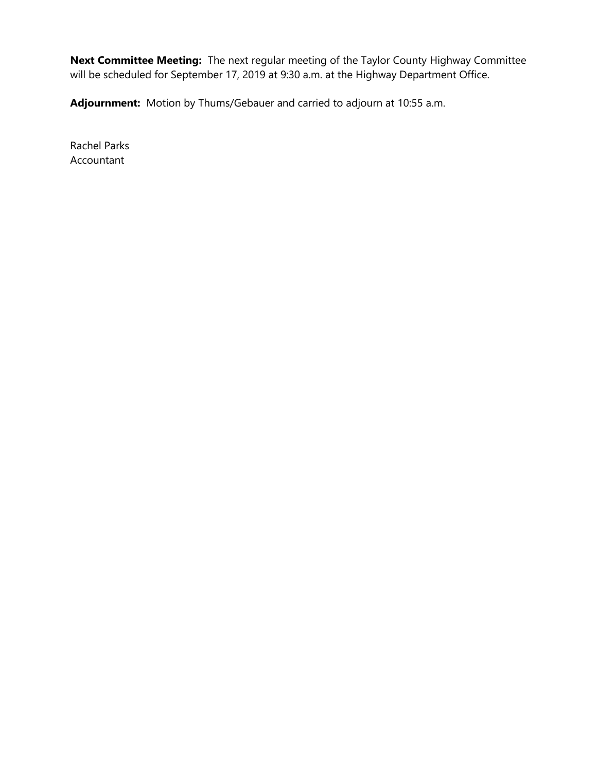**Next Committee Meeting:** The next regular meeting of the Taylor County Highway Committee will be scheduled for September 17, 2019 at 9:30 a.m. at the Highway Department Office.

**Adjournment:** Motion by Thums/Gebauer and carried to adjourn at 10:55 a.m.

Rachel Parks Accountant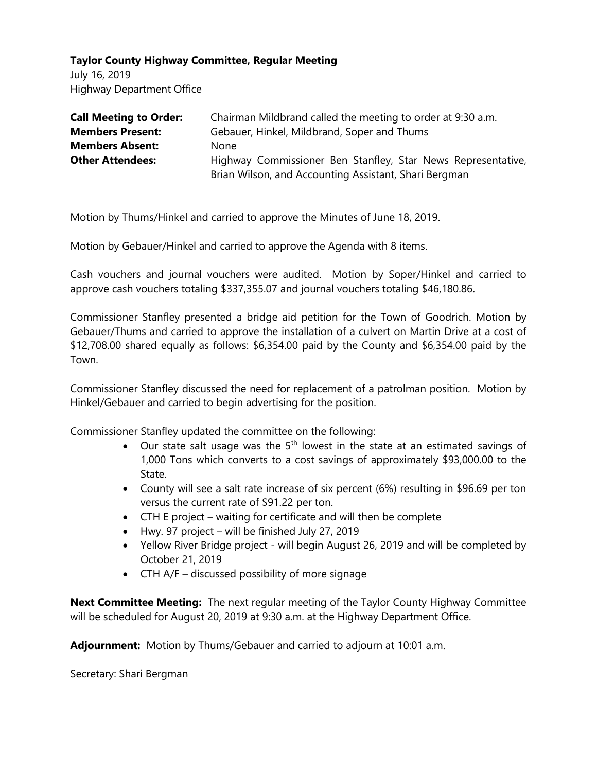July 16, 2019 Highway Department Office

| <b>Call Meeting to Order:</b> | Chairman Mildbrand called the meeting to order at 9:30 a.m.  |
|-------------------------------|--------------------------------------------------------------|
| <b>Members Present:</b>       | Gebauer, Hinkel, Mildbrand, Soper and Thums                  |
| <b>Members Absent:</b>        | None                                                         |
| <b>Other Attendees:</b>       | Highway Commissioner Ben Stanfley, Star News Representative, |
|                               | Brian Wilson, and Accounting Assistant, Shari Bergman        |

Motion by Thums/Hinkel and carried to approve the Minutes of June 18, 2019.

Motion by Gebauer/Hinkel and carried to approve the Agenda with 8 items.

Cash vouchers and journal vouchers were audited. Motion by Soper/Hinkel and carried to approve cash vouchers totaling \$337,355.07 and journal vouchers totaling \$46,180.86.

Commissioner Stanfley presented a bridge aid petition for the Town of Goodrich. Motion by Gebauer/Thums and carried to approve the installation of a culvert on Martin Drive at a cost of \$12,708.00 shared equally as follows: \$6,354.00 paid by the County and \$6,354.00 paid by the Town.

Commissioner Stanfley discussed the need for replacement of a patrolman position. Motion by Hinkel/Gebauer and carried to begin advertising for the position.

Commissioner Stanfley updated the committee on the following:

- Our state salt usage was the  $5<sup>th</sup>$  lowest in the state at an estimated savings of 1,000 Tons which converts to a cost savings of approximately \$93,000.00 to the State.
- County will see a salt rate increase of six percent (6%) resulting in \$96.69 per ton versus the current rate of \$91.22 per ton.
- CTH E project waiting for certificate and will then be complete
- Hwy. 97 project will be finished July 27, 2019
- Yellow River Bridge project will begin August 26, 2019 and will be completed by October 21, 2019
- CTH A/F discussed possibility of more signage

**Next Committee Meeting:** The next regular meeting of the Taylor County Highway Committee will be scheduled for August 20, 2019 at 9:30 a.m. at the Highway Department Office.

**Adjournment:** Motion by Thums/Gebauer and carried to adjourn at 10:01 a.m.

Secretary: Shari Bergman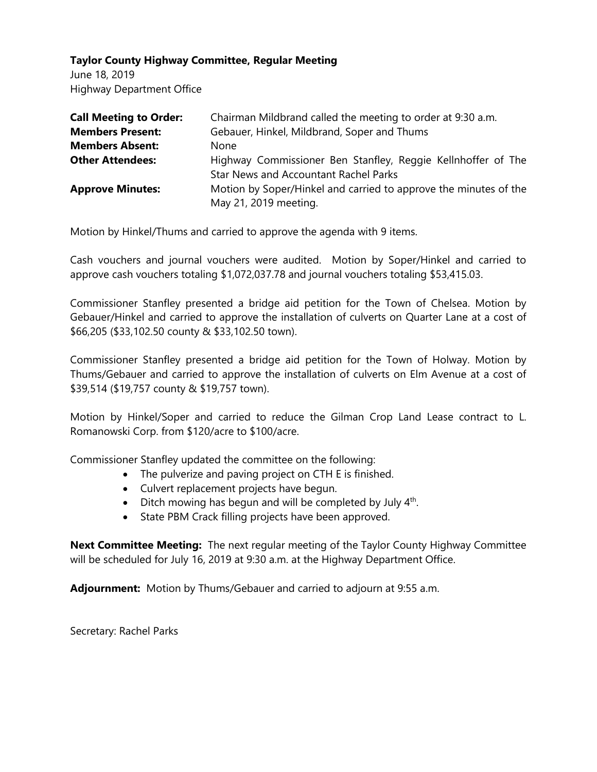June 18, 2019 Highway Department Office

| <b>Call Meeting to Order:</b> | Chairman Mildbrand called the meeting to order at 9:30 a.m.                               |
|-------------------------------|-------------------------------------------------------------------------------------------|
| <b>Members Present:</b>       | Gebauer, Hinkel, Mildbrand, Soper and Thums                                               |
| <b>Members Absent:</b>        | <b>None</b>                                                                               |
| <b>Other Attendees:</b>       | Highway Commissioner Ben Stanfley, Reggie Kellnhoffer of The                              |
|                               | <b>Star News and Accountant Rachel Parks</b>                                              |
| <b>Approve Minutes:</b>       | Motion by Soper/Hinkel and carried to approve the minutes of the<br>May 21, 2019 meeting. |
|                               |                                                                                           |

Motion by Hinkel/Thums and carried to approve the agenda with 9 items.

Cash vouchers and journal vouchers were audited. Motion by Soper/Hinkel and carried to approve cash vouchers totaling \$1,072,037.78 and journal vouchers totaling \$53,415.03.

Commissioner Stanfley presented a bridge aid petition for the Town of Chelsea. Motion by Gebauer/Hinkel and carried to approve the installation of culverts on Quarter Lane at a cost of \$66,205 (\$33,102.50 county & \$33,102.50 town).

Commissioner Stanfley presented a bridge aid petition for the Town of Holway. Motion by Thums/Gebauer and carried to approve the installation of culverts on Elm Avenue at a cost of \$39,514 (\$19,757 county & \$19,757 town).

Motion by Hinkel/Soper and carried to reduce the Gilman Crop Land Lease contract to L. Romanowski Corp. from \$120/acre to \$100/acre.

Commissioner Stanfley updated the committee on the following:

- The pulverize and paving project on CTH E is finished.
- Culvert replacement projects have begun.
- Ditch mowing has begun and will be completed by July  $4<sup>th</sup>$ .
- State PBM Crack filling projects have been approved.

**Next Committee Meeting:** The next regular meeting of the Taylor County Highway Committee will be scheduled for July 16, 2019 at 9:30 a.m. at the Highway Department Office.

**Adjournment:** Motion by Thums/Gebauer and carried to adjourn at 9:55 a.m.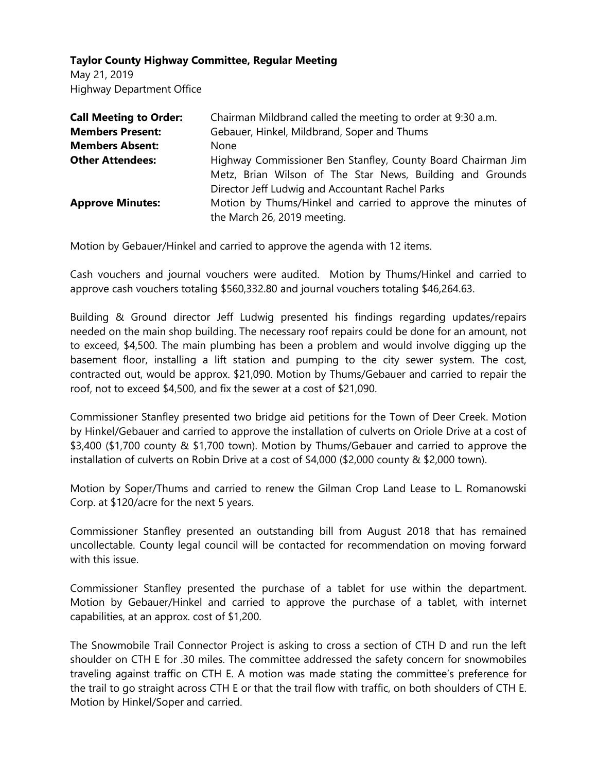May 21, 2019 Highway Department Office

| <b>Call Meeting to Order:</b> | Chairman Mildbrand called the meeting to order at 9:30 a.m.  |
|-------------------------------|--------------------------------------------------------------|
| <b>Members Present:</b>       | Gebauer, Hinkel, Mildbrand, Soper and Thums                  |
| <b>Members Absent:</b>        | None                                                         |
| <b>Other Attendees:</b>       | Highway Commissioner Ben Stanfley, County Board Chairman Jim |
|                               | Metz, Brian Wilson of The Star News, Building and Grounds    |
|                               | Director Jeff Ludwig and Accountant Rachel Parks             |
| <b>Approve Minutes:</b>       | Motion by Thums/Hinkel and carried to approve the minutes of |
|                               | the March 26, 2019 meeting.                                  |

Motion by Gebauer/Hinkel and carried to approve the agenda with 12 items.

Cash vouchers and journal vouchers were audited. Motion by Thums/Hinkel and carried to approve cash vouchers totaling \$560,332.80 and journal vouchers totaling \$46,264.63.

Building & Ground director Jeff Ludwig presented his findings regarding updates/repairs needed on the main shop building. The necessary roof repairs could be done for an amount, not to exceed, \$4,500. The main plumbing has been a problem and would involve digging up the basement floor, installing a lift station and pumping to the city sewer system. The cost, contracted out, would be approx. \$21,090. Motion by Thums/Gebauer and carried to repair the roof, not to exceed \$4,500, and fix the sewer at a cost of \$21,090.

Commissioner Stanfley presented two bridge aid petitions for the Town of Deer Creek. Motion by Hinkel/Gebauer and carried to approve the installation of culverts on Oriole Drive at a cost of \$3,400 (\$1,700 county & \$1,700 town). Motion by Thums/Gebauer and carried to approve the installation of culverts on Robin Drive at a cost of \$4,000 (\$2,000 county & \$2,000 town).

Motion by Soper/Thums and carried to renew the Gilman Crop Land Lease to L. Romanowski Corp. at \$120/acre for the next 5 years.

Commissioner Stanfley presented an outstanding bill from August 2018 that has remained uncollectable. County legal council will be contacted for recommendation on moving forward with this issue.

Commissioner Stanfley presented the purchase of a tablet for use within the department. Motion by Gebauer/Hinkel and carried to approve the purchase of a tablet, with internet capabilities, at an approx. cost of \$1,200.

The Snowmobile Trail Connector Project is asking to cross a section of CTH D and run the left shoulder on CTH E for .30 miles. The committee addressed the safety concern for snowmobiles traveling against traffic on CTH E. A motion was made stating the committee's preference for the trail to go straight across CTH E or that the trail flow with traffic, on both shoulders of CTH E. Motion by Hinkel/Soper and carried.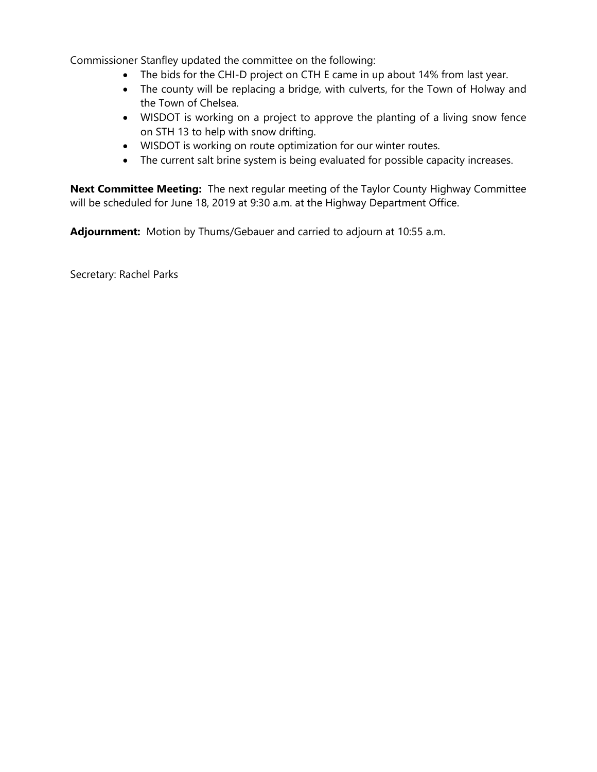Commissioner Stanfley updated the committee on the following:

- The bids for the CHI-D project on CTH E came in up about 14% from last year.
- The county will be replacing a bridge, with culverts, for the Town of Holway and the Town of Chelsea.
- WISDOT is working on a project to approve the planting of a living snow fence on STH 13 to help with snow drifting.
- WISDOT is working on route optimization for our winter routes.
- The current salt brine system is being evaluated for possible capacity increases.

**Next Committee Meeting:** The next regular meeting of the Taylor County Highway Committee will be scheduled for June 18, 2019 at 9:30 a.m. at the Highway Department Office.

**Adjournment:** Motion by Thums/Gebauer and carried to adjourn at 10:55 a.m.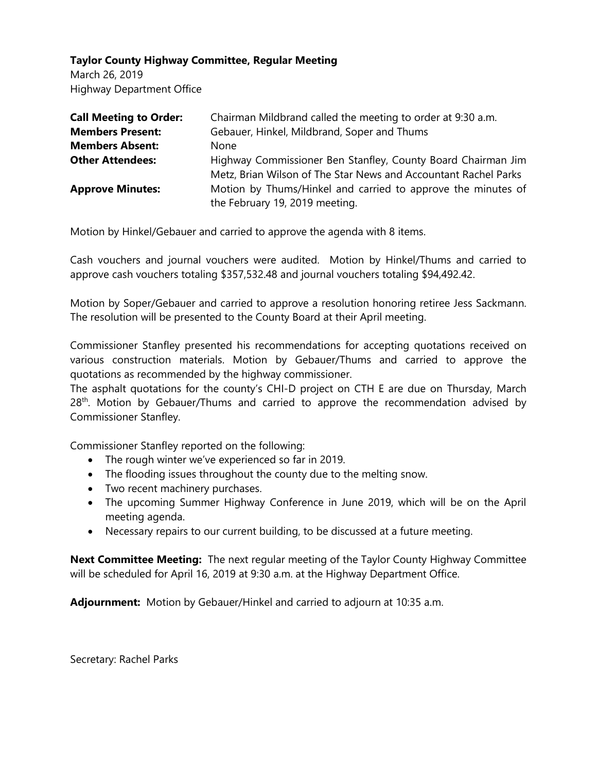March 26, 2019 Highway Department Office

| <b>Call Meeting to Order:</b> | Chairman Mildbrand called the meeting to order at 9:30 a.m.     |
|-------------------------------|-----------------------------------------------------------------|
| <b>Members Present:</b>       | Gebauer, Hinkel, Mildbrand, Soper and Thums                     |
| <b>Members Absent:</b>        | <b>None</b>                                                     |
| <b>Other Attendees:</b>       | Highway Commissioner Ben Stanfley, County Board Chairman Jim    |
|                               | Metz, Brian Wilson of The Star News and Accountant Rachel Parks |
| <b>Approve Minutes:</b>       | Motion by Thums/Hinkel and carried to approve the minutes of    |
|                               | the February 19, 2019 meeting.                                  |

Motion by Hinkel/Gebauer and carried to approve the agenda with 8 items.

Cash vouchers and journal vouchers were audited. Motion by Hinkel/Thums and carried to approve cash vouchers totaling \$357,532.48 and journal vouchers totaling \$94,492.42.

Motion by Soper/Gebauer and carried to approve a resolution honoring retiree Jess Sackmann. The resolution will be presented to the County Board at their April meeting.

Commissioner Stanfley presented his recommendations for accepting quotations received on various construction materials. Motion by Gebauer/Thums and carried to approve the quotations as recommended by the highway commissioner.

The asphalt quotations for the county's CHI-D project on CTH E are due on Thursday, March  $28<sup>th</sup>$ . Motion by Gebauer/Thums and carried to approve the recommendation advised by Commissioner Stanfley.

Commissioner Stanfley reported on the following:

- The rough winter we've experienced so far in 2019.
- The flooding issues throughout the county due to the melting snow.
- Two recent machinery purchases.
- The upcoming Summer Highway Conference in June 2019, which will be on the April meeting agenda.
- Necessary repairs to our current building, to be discussed at a future meeting.

**Next Committee Meeting:** The next regular meeting of the Taylor County Highway Committee will be scheduled for April 16, 2019 at 9:30 a.m. at the Highway Department Office.

**Adjournment:** Motion by Gebauer/Hinkel and carried to adjourn at 10:35 a.m.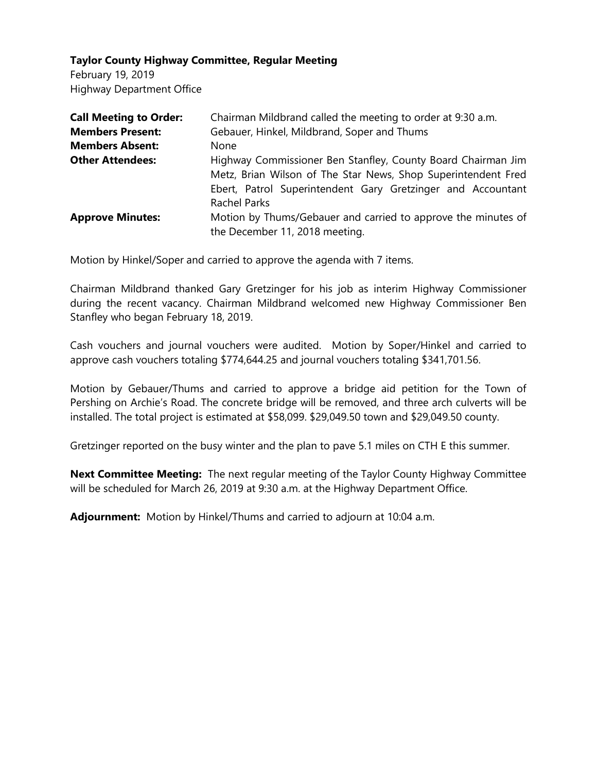February 19, 2019 Highway Department Office

| <b>Call Meeting to Order:</b> | Chairman Mildbrand called the meeting to order at 9:30 a.m.                                                                                                                                                         |
|-------------------------------|---------------------------------------------------------------------------------------------------------------------------------------------------------------------------------------------------------------------|
| <b>Members Present:</b>       | Gebauer, Hinkel, Mildbrand, Soper and Thums                                                                                                                                                                         |
| <b>Members Absent:</b>        | <b>None</b>                                                                                                                                                                                                         |
| <b>Other Attendees:</b>       | Highway Commissioner Ben Stanfley, County Board Chairman Jim<br>Metz, Brian Wilson of The Star News, Shop Superintendent Fred<br>Ebert, Patrol Superintendent Gary Gretzinger and Accountant<br><b>Rachel Parks</b> |
| <b>Approve Minutes:</b>       | Motion by Thums/Gebauer and carried to approve the minutes of                                                                                                                                                       |
|                               | the December 11, 2018 meeting.                                                                                                                                                                                      |

Motion by Hinkel/Soper and carried to approve the agenda with 7 items.

Chairman Mildbrand thanked Gary Gretzinger for his job as interim Highway Commissioner during the recent vacancy. Chairman Mildbrand welcomed new Highway Commissioner Ben Stanfley who began February 18, 2019.

Cash vouchers and journal vouchers were audited. Motion by Soper/Hinkel and carried to approve cash vouchers totaling \$774,644.25 and journal vouchers totaling \$341,701.56.

Motion by Gebauer/Thums and carried to approve a bridge aid petition for the Town of Pershing on Archie's Road. The concrete bridge will be removed, and three arch culverts will be installed. The total project is estimated at \$58,099. \$29,049.50 town and \$29,049.50 county.

Gretzinger reported on the busy winter and the plan to pave 5.1 miles on CTH E this summer.

**Next Committee Meeting:** The next regular meeting of the Taylor County Highway Committee will be scheduled for March 26, 2019 at 9:30 a.m. at the Highway Department Office.

**Adjournment:** Motion by Hinkel/Thums and carried to adjourn at 10:04 a.m.